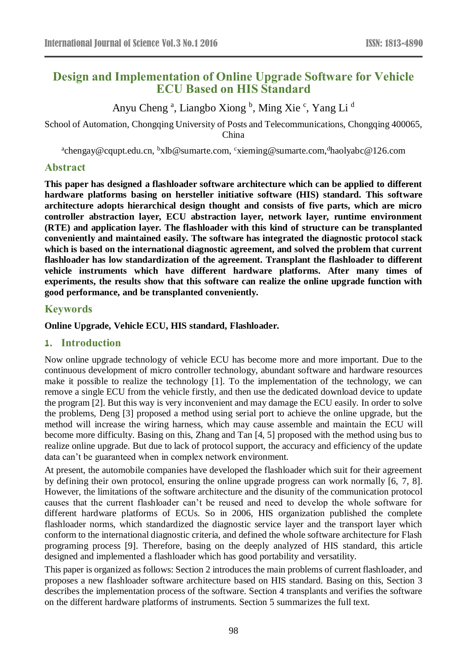# **Design and Implementation of Online Upgrade Software for Vehicle ECU Based on HIS Standard**

Anyu Cheng<sup>a</sup>, Liangbo Xiong <sup>b</sup>, Ming Xie<sup>c</sup>, Yang Li<sup>d</sup>

School of Automation, Chongqing University of Posts and Telecommunications, Chongqing 400065, China

<sup>a</sup>chengay@cqupt.edu.cn, <sup>b</sup>xlb@sumarte.com, <sup>c</sup>xieming@sumarte.com, <sup>d</sup>haolyabc@126.com

# **Abstract**

**This paper has designed a flashloader software architecture which can be applied to different hardware platforms basing on hersteller initiative software (HIS) standard. This software architecture adopts hierarchical design thought and consists of five parts, which are micro controller abstraction layer, ECU abstraction layer, network layer, runtime environment (RTE) and application layer. The flashloader with this kind of structure can be transplanted conveniently and maintained easily. The software has integrated the diagnostic protocol stack which is based on the international diagnostic agreement, and solved the problem that current flashloader has low standardization of the agreement. Transplant the flashloader to different vehicle instruments which have different hardware platforms. After many times of experiments, the results show that this software can realize the online upgrade function with good performance, and be transplanted conveniently.**

# **Keywords**

**Online Upgrade, Vehicle ECU, HIS standard, Flashloader.**

# **1. Introduction**

Now online upgrade technology of vehicle ECU has become more and more important. Due to the continuous development of micro controller technology, abundant software and hardware resources make it possible to realize the technology [1]. To the implementation of the technology, we can remove a single ECU from the vehicle firstly, and then use the dedicated download device to update the program [2]. But this way is very inconvenient and may damage the ECU easily. In order to solve the problems, Deng [3] proposed a method using serial port to achieve the online upgrade, but the method will increase the wiring harness, which may cause assemble and maintain the ECU will become more difficulty. Basing on this, Zhang and Tan [4, 5] proposed with the method using bus to realize online upgrade. But due to lack of protocol support, the accuracy and efficiency of the update data can't be guaranteed when in complex network environment.

At present, the automobile companies have developed the flashloader which suit for their agreement by defining their own protocol, ensuring the online upgrade progress can work normally [6, 7, 8]. However, the limitations of the software architecture and the disunity of the communication protocol causes that the current flashloader can't be reused and need to develop the whole software for different hardware platforms of ECUs. So in 2006, HIS organization published the complete flashloader norms, which standardized the diagnostic service layer and the transport layer which conform to the international diagnostic criteria, and defined the whole software architecture for Flash programing process [9]. Therefore, basing on the deeply analyzed of HIS standard, this article designed and implemented a flashloader which has good portability and versatility.

This paper is organized as follows: Section 2 introduces the main problems of current flashloader, and proposes a new flashloader software architecture based on HIS standard. Basing on this, Section 3 describes the implementation process of the software. Section 4 transplants and verifies the software on the different hardware platforms of instruments. Section 5 summarizes the full text.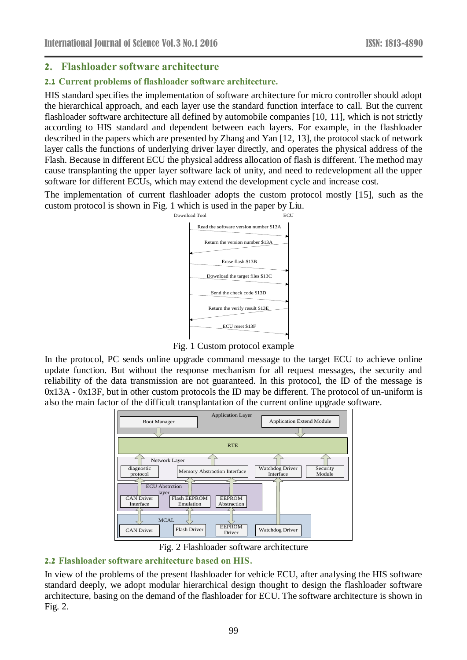# **2. Flashloader software architecture**

#### **2.1 Current problems of flashloader software architecture.**

HIS standard specifies the implementation of software architecture for micro controller should adopt the hierarchical approach, and each layer use the standard function interface to call. But the current flashloader software architecture all defined by automobile companies [10, 11], which is not strictly according to HIS standard and dependent between each layers. For example, in the flashloader described in the papers which are presented by Zhang and Yan [12, 13], the protocol stack of network layer calls the functions of underlying driver layer directly, and operates the physical address of the Flash. Because in different ECU the physical address allocation of flash is different. The method may cause transplanting the upper layer software lack of unity, and need to redevelopment all the upper software for different ECUs, which may extend the development cycle and increase cost.

The implementation of current flashloader adopts the custom protocol mostly [15], such as the custom protocol is shown in Fig. 1 which is used in the paper by Liu.



Fig. 1 Custom protocol example

In the protocol, PC sends online upgrade command message to the target ECU to achieve online update function. But without the response mechanism for all request messages, the security and reliability of the data transmission are not guaranteed. In this protocol, the ID of the message is  $0x13A - 0x13F$ , but in other custom protocols the ID may be different. The protocol of un-uniform is also the main factor of the difficult transplantation of the current online upgrade software.



Fig. 2 Flashloader software architecture

# **2.2 Flashloader software architecture based on HIS.**

In view of the problems of the present flashloader for vehicle ECU, after analysing the HIS software standard deeply, we adopt modular hierarchical design thought to design the flashloader software architecture, basing on the demand of the flashloader for ECU. The software architecture is shown in Fig. 2.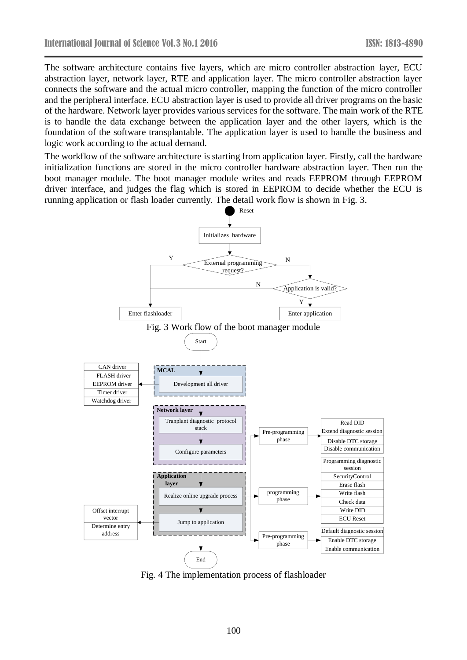The software architecture contains five layers, which are micro controller abstraction layer, ECU abstraction layer, network layer, RTE and application layer. The micro controller abstraction layer connects the software and the actual micro controller, mapping the function of the micro controller and the peripheral interface. ECU abstraction layer is used to provide all driver programs on the basic of the hardware. Network layer provides various services for the software. The main work of the RTE is to handle the data exchange between the application layer and the other layers, which is the foundation of the software transplantable. The application layer is used to handle the business and logic work according to the actual demand.

The workflow of the software architecture is starting from application layer. Firstly, call the hardware initialization functions are stored in the micro controller hardware abstraction layer. Then run the boot manager module. The boot manager module writes and reads EEPROM [through](javascript:void(0);) EEPROM driver interface, and judges the flag which is stored in EEPROM to decide whether the ECU is running application or flash loader currently. The detail work flow is shown in Fig. 3.



Fig. 4 The implementation process of flashloader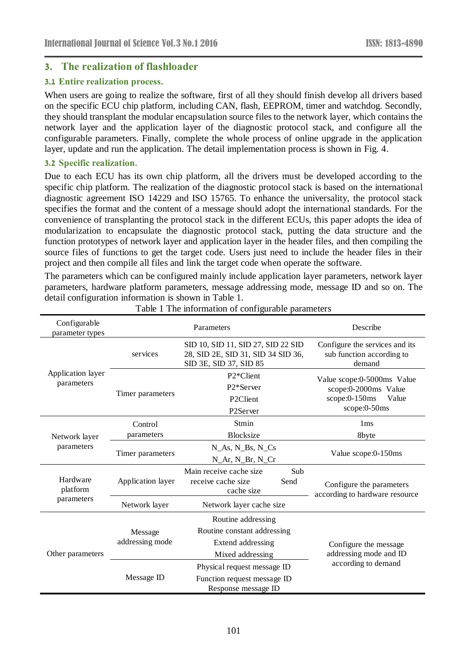# **3. The realization of flashloader**

#### **3.1 Entire realization process.**

When users are going to realize the software, first of all they should finish develop all drivers based on the specific ECU chip platform, including CAN, flash, EEPROM, timer and watchdog. Secondly, they should transplant the modular encapsulation source files to the network layer, which contains the network layer and the application layer of the diagnostic protocol stack, and configure all the configurable parameters. Finally, complete the whole process of online upgrade in the application layer, update and run the application. The detail implementation process is shown in Fig. 4.

#### **3.2 Specific realization.**

Due to each ECU has its own chip platform, all the drivers must be developed according to the specific chip platform. The realization of the diagnostic protocol stack is based on the international diagnostic agreement ISO 14229 and ISO 15765. To enhance the universality, the protocol stack specifies the format and the content of a message should adopt the international standards. For the convenience of transplanting the protocol stack in the different ECUs, this paper adopts the idea of modularization to encapsulate the diagnostic protocol stack, putting the data structure and the function prototypes of network layer and application layer in the header files, and then compiling the source files of functions to get the target code. Users just need to include the header files in their project and then compile all files and link the target code when operate the software.

The parameters which can be configured mainly include application layer parameters, network layer parameters, hardware platform parameters, message addressing mode, message ID and so on. The detail configuration information is shown in Table 1.

| Configurable<br>parameter types |                            | Parameters                                                                                         | Describe                                                              |  |
|---------------------------------|----------------------------|----------------------------------------------------------------------------------------------------|-----------------------------------------------------------------------|--|
|                                 | services                   | SID 10, SID 11, SID 27, SID 22 SID<br>28, SID 2E, SID 31, SID 34 SID 36,<br>SID 3E, SID 37, SID 85 | Configure the services and its<br>sub function according to<br>demand |  |
| Application layer               | P <sub>2</sub> *Client     | Value scope:0-5000ms Value                                                                         |                                                                       |  |
| parameters                      | Timer parameters           | P <sub>2</sub> *Server                                                                             | scope:0-2000ms Value                                                  |  |
|                                 |                            | P <sub>2</sub> Client                                                                              | scope:0-150ms<br>Value                                                |  |
|                                 |                            | P2Server                                                                                           | scope:0-50ms                                                          |  |
| Network layer<br>parameters     | Control                    | Stmin                                                                                              | 1 <sub>ms</sub>                                                       |  |
|                                 | parameters                 | <b>Blocksize</b>                                                                                   | 8byte                                                                 |  |
|                                 | Timer parameters           | $N_As, N_Bs, N_Cs$<br>N_Ar, N_Br, N_Cr                                                             | Value scope:0-150ms                                                   |  |
| Hardware<br>platform            | Application layer          | Main receive cache size<br>Sub<br>receive cache size<br>Send<br>cache size                         | Configure the parameters<br>according to hardware resource            |  |
| parameters                      | Network layer              | Network layer cache size                                                                           |                                                                       |  |
| Other parameters                | Message<br>addressing mode | Routine addressing<br>Routine constant addressing<br>Extend addressing<br>Mixed addressing         | Configure the message<br>addressing mode and ID                       |  |
|                                 | Message ID                 | Physical request message ID<br>Function request message ID<br>Response message ID                  | according to demand                                                   |  |

Table 1 The information of configurable parameters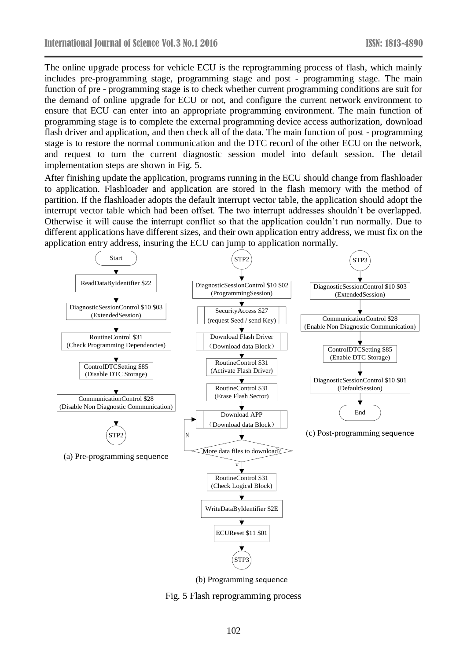The online upgrade process for vehicle ECU is the reprogramming process of flash, which mainly includes pre-programming stage, programming stage and post - programming stage. The main function of pre - programming stage is to check whether current programming conditions are suit for the demand of online upgrade for ECU or not, and configure the current network environment to ensure that ECU can enter into an appropriate programming environment. The main function of programming stage is to complete the external programming device access authorization, [download](javascript:void(0);) flash driver and application, and then check all of the data. The main function of post - programming stage is to restore the normal communication and the DTC record of the other ECU on the network, and request to turn the current diagnostic session model into default session. The detail implementation steps are shown in Fig. 5.

After finishing update the application, programs running in the ECU should change from flashloader to application. Flashloader and application are stored in the flash memory with the method of partition. If the flashloader adopts the default interrupt vector table, the application should adopt the interrupt vector table which had been offset. The two interrupt addresses shouldn't be overlapped. Otherwise it will cause the interrupt conflict so that the application couldn't run normally. Due to different applications have different sizes, and their own application entry address, we must fix on the application entry address, insuring the ECU can jump to application normally.



Fig. 5 Flash reprogramming process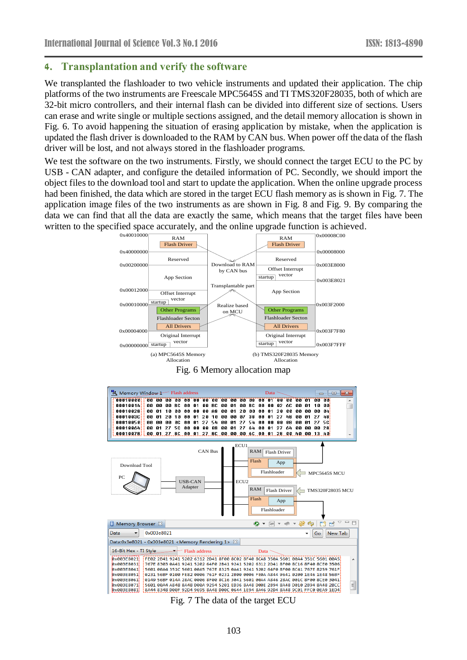# **4. Transplantation and verify the software**

We transplanted the flashloader to two vehicle instruments and updated their application. The chip platforms of the two instruments are Freescale MPC5645S and TI TMS320F28035, both of which are 32-bit micro controllers, and their internal flash can be divided into different size of sections. Users can erase and write single or multiple sections assigned, and the detail memory allocation is shown in Fig. 6. To avoid happening the situation of erasing application by mistake, when the application is updated the flash driver is downloaded to the RAM by CAN bus. When power off the data of the flash driver will be lost, and not always stored in the flashloader programs.

We test the software on the two [instruments](javascript:void(0);). Firstly, we should connect the target ECU to the PC by USB - CAN adapter, and configure the detailed information of PC. Secondly, we should import the object files to the download tool and start to update the application. When the online upgrade process had been finished, the data which are stored in the target ECU flash memory as is shown in Fig. 7. The application image files of the two [instruments](javascript:void(0);) as are shown in Fig. 8 and Fig. 9. By comparing the data we can find that all the data are exactly the same, which means that the target files have been written to the specified space accurately, and the online upgrade function is achieved.



Fig. 7 The data of the target ECU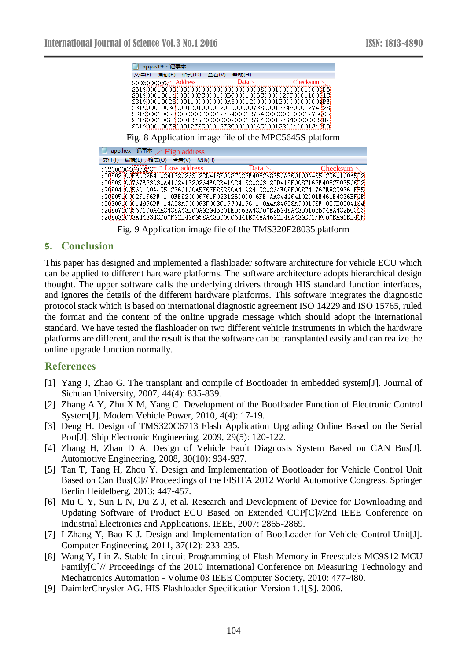|       |                 | 文件(F) 编辑(E)        |                     |       |       |                                                                             |
|-------|-----------------|--------------------|---------------------|-------|-------|-----------------------------------------------------------------------------|
|       |                 |                    | 格式(O)               | 查看(V) | 帮助(H) |                                                                             |
|       |                 | S0030000DE Address |                     |       | Data  | Checksum                                                                    |
|       |                 |                    |                     |       |       |                                                                             |
|       |                 |                    |                     |       |       | S31900010014000000BC000100BC000100BC0000026C000110001C                      |
|       |                 |                    |                     |       |       | 531900010030000120100001201000000738000127480001274828                      |
|       |                 |                    |                     |       |       | S31900010050000000000001275400012754000000080001275005                      |
|       |                 |                    |                     |       |       | S319000100640001275C00000008000127640001276400000028B5                      |
|       |                 |                    |                     |       |       | S319000100780001278C0001278C0000006C0001280040001340DDX                     |
|       | app.hex - 记事本 / |                    | <b>High address</b> |       |       | Fig. 8 Application image file of the MPC5645S platform                      |
| 文件(F) | 编辑(E) /格式(O)    |                    | 查看(V) 帮助(H)         |       |       |                                                                             |
|       | :02000004003EBC |                    | Low address         |       | Data  |                                                                             |
|       |                 |                    |                     |       |       | :20802100FE022B419241520263122D418F008C028F408CA8350A560100A4351C560100A522 |
|       |                 |                    |                     |       |       | :20803100767E83030A419241520264F02B419241520263122D418F008C168F408CE03506D2 |
|       |                 |                    |                     |       |       | :20804100560100A4351C560100A5767E83250A419241520264F08F008C41767E8259761RB5 |
|       |                 |                    |                     |       |       | :20805100023156BF0100FE820006761F02312B000006FE0AA844964102001E461E4856BF9B |
|       |                 |                    |                     |       |       | :20806100014956BF014A28AC00068F008C163041560100A4A84628AC001C8F008CE0304194 |
|       |                 |                    |                     |       |       | :20807100560100A4A8488A48D00A92945201ED368A48D00E2B948A48D0102B948A482BCC13 |
|       |                 |                    |                     |       |       | :208081008A448348D00F92D496958A48D00C06441E948A4692D48A489C01FFC00EA91ED41F |

Fig. 9 Application image file of the TMS320F28035 platform

# **5. Conclusion**

This paper has designed and implemented a flashloader software architecture for vehicle ECU which can be applied to different hardware platforms. The software architecture adopts hierarchical design thought. The upper software calls the underlying drivers through HIS standard function interfaces, and ignores the details of the different hardware platforms. This software integrates the diagnostic protocol stack which is based on international diagnostic agreement ISO 14229 and ISO 15765, ruled the format and the content of the online upgrade message which should adopt the international standard. We have tested the flashloader on two different vehicle instruments in which the hardware platforms are different, and the result is that the software can be transplanted easily and can realize the online upgrade function normally.

# **References**

- [1] Yang J, Zhao G. The transplant and compile of Bootloader in embedded system[J]. Journal of Sichuan University, 2007, 44(4): 835-839.
- [2] Zhang A Y, Zhu X M, Yang C. Development of the Bootloader Function of Electronic Control System[J]. Modern Vehicle Power, 2010, 4(4): 17-19.
- [3] Deng H. Design of TMS320C6713 Flash Application Upgrading Online Based on the Serial Port[J]. Ship Electronic Engineering, 2009, 29(5): 120-122.
- [4] Zhang H, Zhan D A. Design of Vehicle Fault Diagnosis System Based on CAN Bus[J]. Automotive Engineering, 2008, 30(10): 934-937.
- [5] Tan T, Tang H, Zhou Y. Design and Implementation of Bootloader for Vehicle Control Unit Based on Can Bus[C]// Proceedings of the FISITA 2012 World Automotive Congress. Springer Berlin Heidelberg, 2013: 447-457.
- [6] Mu C Y, Sun L N, Du Z J, et al. Research and Development of Device for Downloading and Updating Software of Product ECU Based on Extended CCP[C]//2nd IEEE Conference on Industrial Electronics and Applications. IEEE, 2007: 2865-2869.
- [7] I Zhang Y, Bao K J. Design and Implementation of BootLoader for Vehicle Control Unit[J]. Computer Engineering, 2011, 37(12): 233-235.
- [8] Wang Y, Lin Z. Stable In-circuit Programming of Flash Memory in Freescale's MC9S12 MCU Family[C]// Proceedings of the 2010 International Conference on Measuring Technology and Mechatronics Automation - Volume 03 IEEE Computer Society, 2010: 477-480.
- [9] DaimlerChrysler AG. HIS Flashloader Specification Version 1.1[S]. 2006.